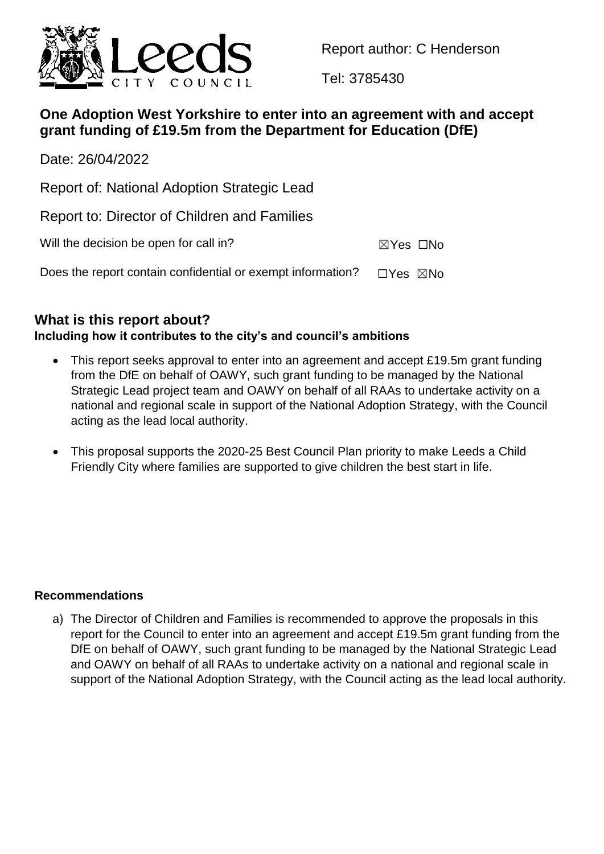

Report author: C Henderson

Tel: 3785430

# **One Adoption West Yorkshire to enter into an agreement with and accept grant funding of £19.5m from the Department for Education (DfE)**

Date: 26/04/2022

Report of: National Adoption Strategic Lead

Report to: Director of Children and Families

Will the decision be open for call in?  $\boxtimes Y$ es  $\Box$ No

Does the report contain confidential or exempt information?  $\Box$ Yes  $\boxtimes$ No

# **What is this report about?**

## **Including how it contributes to the city's and council's ambitions**

- This report seeks approval to enter into an agreement and accept £19.5m grant funding from the DfE on behalf of OAWY, such grant funding to be managed by the National Strategic Lead project team and OAWY on behalf of all RAAs to undertake activity on a national and regional scale in support of the National Adoption Strategy, with the Council acting as the lead local authority.
- This proposal supports the 2020-25 Best Council Plan priority to make Leeds a Child Friendly City where families are supported to give children the best start in life.

## **Recommendations**

a) The Director of Children and Families is recommended to approve the proposals in this report for the Council to enter into an agreement and accept £19.5m grant funding from the DfE on behalf of OAWY, such grant funding to be managed by the National Strategic Lead and OAWY on behalf of all RAAs to undertake activity on a national and regional scale in support of the National Adoption Strategy, with the Council acting as the lead local authority.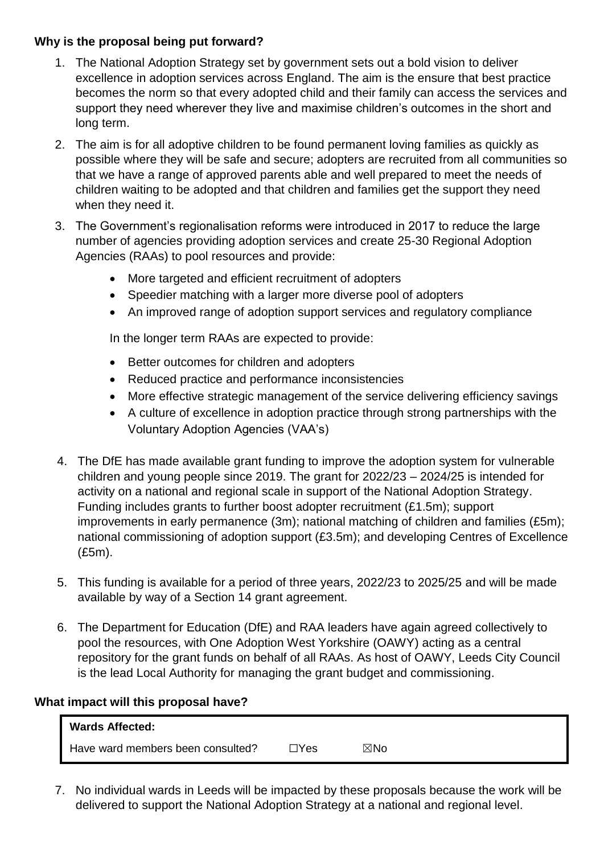## **Why is the proposal being put forward?**

- 1. The National Adoption Strategy set by government sets out a bold vision to deliver excellence in adoption services across England. The aim is the ensure that best practice becomes the norm so that every adopted child and their family can access the services and support they need wherever they live and maximise children's outcomes in the short and long term.
- 2. The aim is for all adoptive children to be found permanent loving families as quickly as possible where they will be safe and secure; adopters are recruited from all communities so that we have a range of approved parents able and well prepared to meet the needs of children waiting to be adopted and that children and families get the support they need when they need it.
- 3. The Government's regionalisation reforms were introduced in 2017 to reduce the large number of agencies providing adoption services and create 25-30 Regional Adoption Agencies (RAAs) to pool resources and provide:
	- More targeted and efficient recruitment of adopters
	- Speedier matching with a larger more diverse pool of adopters
	- An improved range of adoption support services and regulatory compliance

In the longer term RAAs are expected to provide:

- Better outcomes for children and adopters
- Reduced practice and performance inconsistencies
- More effective strategic management of the service delivering efficiency savings
- A culture of excellence in adoption practice through strong partnerships with the Voluntary Adoption Agencies (VAA's)
- 4. The DfE has made available grant funding to improve the adoption system for vulnerable children and young people since 2019. The grant for 2022/23 – 2024/25 is intended for activity on a national and regional scale in support of the National Adoption Strategy. Funding includes grants to further boost adopter recruitment (£1.5m); support improvements in early permanence (3m); national matching of children and families (£5m); national commissioning of adoption support (£3.5m); and developing Centres of Excellence (£5m).
- 5. This funding is available for a period of three years, 2022/23 to 2025/25 and will be made available by way of a Section 14 grant agreement.
- 6. The Department for Education (DfE) and RAA leaders have again agreed collectively to pool the resources, with One Adoption West Yorkshire (OAWY) acting as a central repository for the grant funds on behalf of all RAAs. As host of OAWY, Leeds City Council is the lead Local Authority for managing the grant budget and commissioning.

#### **What impact will this proposal have?**

| <b>Wards Affected:</b>            |      |     |
|-----------------------------------|------|-----|
| Have ward members been consulted? | ∏Yes | ⊠No |

7. No individual wards in Leeds will be impacted by these proposals because the work will be delivered to support the National Adoption Strategy at a national and regional level.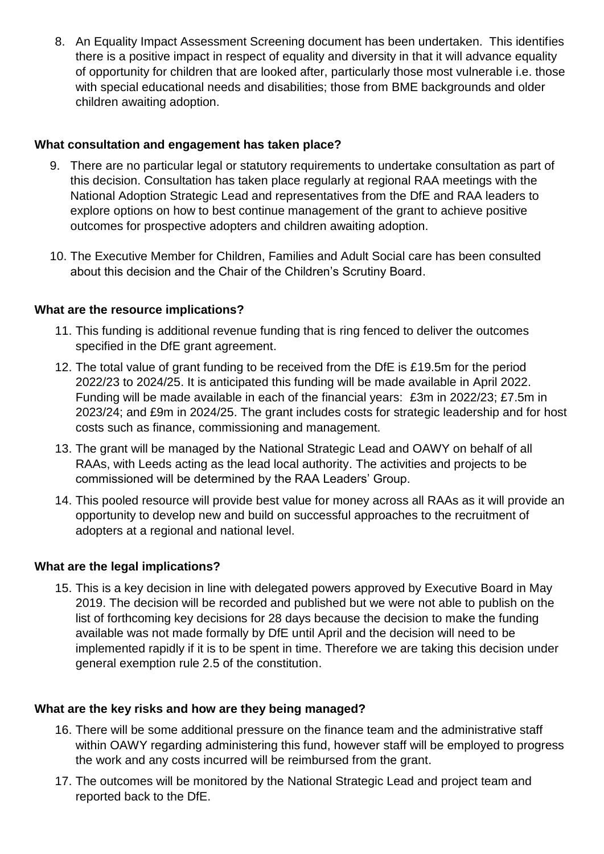8. An Equality Impact Assessment Screening document has been undertaken. This identifies there is a positive impact in respect of equality and diversity in that it will advance equality of opportunity for children that are looked after, particularly those most vulnerable i.e. those with special educational needs and disabilities; those from BME backgrounds and older children awaiting adoption.

## **What consultation and engagement has taken place?**

- 9. There are no particular legal or statutory requirements to undertake consultation as part of this decision. Consultation has taken place regularly at regional RAA meetings with the National Adoption Strategic Lead and representatives from the DfE and RAA leaders to explore options on how to best continue management of the grant to achieve positive outcomes for prospective adopters and children awaiting adoption.
- 10. The Executive Member for Children, Families and Adult Social care has been consulted about this decision and the Chair of the Children's Scrutiny Board.

## **What are the resource implications?**

- 11. This funding is additional revenue funding that is ring fenced to deliver the outcomes specified in the DfE grant agreement.
- 12. The total value of grant funding to be received from the DfE is £19.5m for the period 2022/23 to 2024/25. It is anticipated this funding will be made available in April 2022. Funding will be made available in each of the financial years: £3m in 2022/23; £7.5m in 2023/24; and £9m in 2024/25. The grant includes costs for strategic leadership and for host costs such as finance, commissioning and management.
- 13. The grant will be managed by the National Strategic Lead and OAWY on behalf of all RAAs, with Leeds acting as the lead local authority. The activities and projects to be commissioned will be determined by the RAA Leaders' Group.
- 14. This pooled resource will provide best value for money across all RAAs as it will provide an opportunity to develop new and build on successful approaches to the recruitment of adopters at a regional and national level.

## **What are the legal implications?**

15. This is a key decision in line with delegated powers approved by Executive Board in May 2019. The decision will be recorded and published but we were not able to publish on the list of forthcoming key decisions for 28 days because the decision to make the funding available was not made formally by DfE until April and the decision will need to be implemented rapidly if it is to be spent in time. Therefore we are taking this decision under general exemption rule 2.5 of the constitution.

## **What are the key risks and how are they being managed?**

- 16. There will be some additional pressure on the finance team and the administrative staff within OAWY regarding administering this fund, however staff will be employed to progress the work and any costs incurred will be reimbursed from the grant.
- 17. The outcomes will be monitored by the National Strategic Lead and project team and reported back to the DfE.